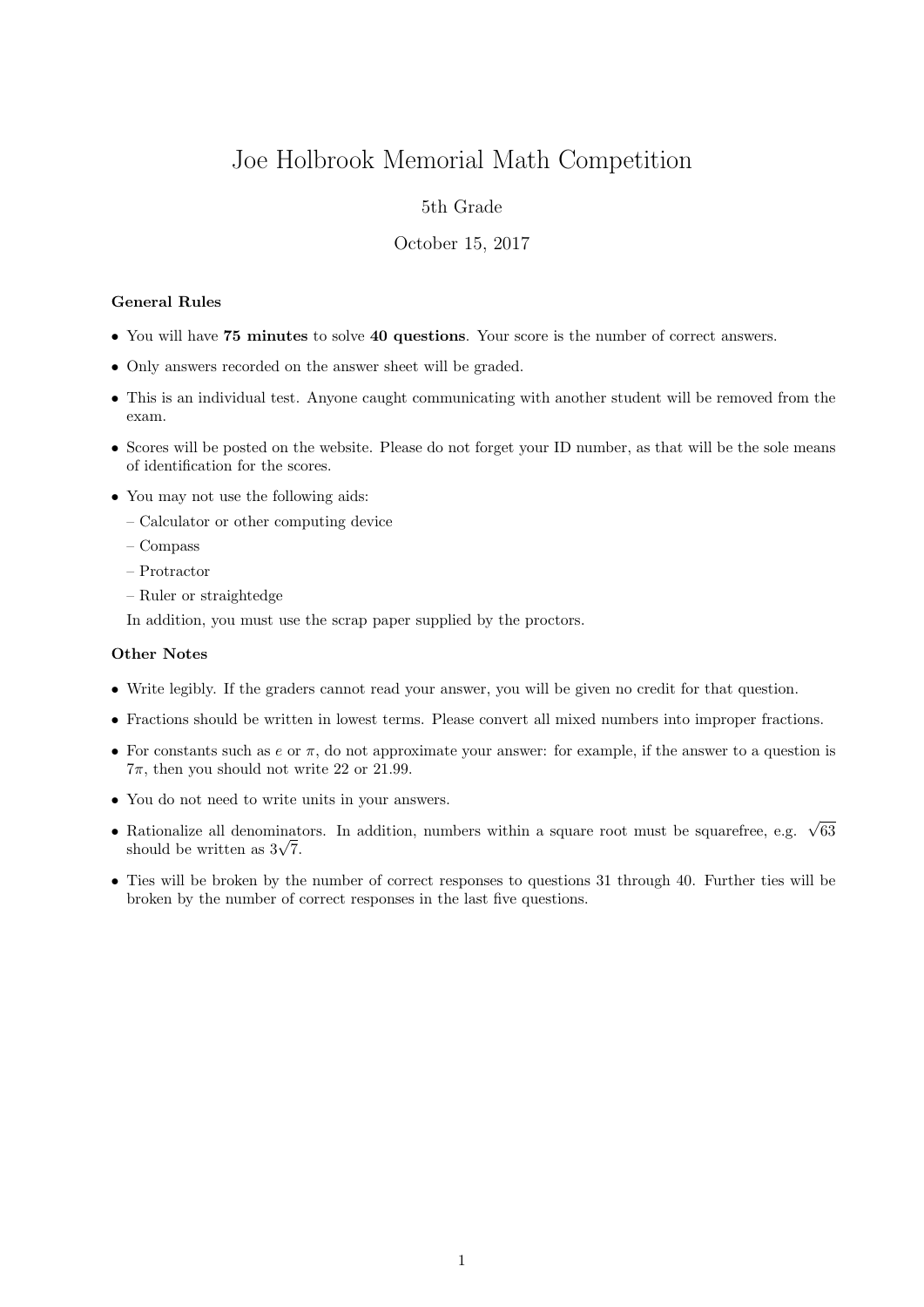# Joe Holbrook Memorial Math Competition

## 5th Grade

### October 15, 2017

#### General Rules

- You will have 75 minutes to solve 40 questions. Your score is the number of correct answers.
- Only answers recorded on the answer sheet will be graded.
- This is an individual test. Anyone caught communicating with another student will be removed from the exam.
- Scores will be posted on the website. Please do not forget your ID number, as that will be the sole means of identification for the scores.
- You may not use the following aids:
	- Calculator or other computing device
	- Compass
	- Protractor
	- Ruler or straightedge

In addition, you must use the scrap paper supplied by the proctors.

#### Other Notes

- Write legibly. If the graders cannot read your answer, you will be given no credit for that question.
- Fractions should be written in lowest terms. Please convert all mixed numbers into improper fractions.
- For constants such as  $e$  or  $\pi$ , do not approximate your answer: for example, if the answer to a question is  $7\pi$ , then you should not write 22 or 21.99.
- You do not need to write units in your answers.
- Rationalize all denominators. In addition, numbers within a square root must be squarefree, e.g.  $\sqrt{63}$  $\kappa$ ationalize all denominat<br>should be written as  $3\sqrt{7}$ .
- Ties will be broken by the number of correct responses to questions 31 through 40. Further ties will be broken by the number of correct responses in the last five questions.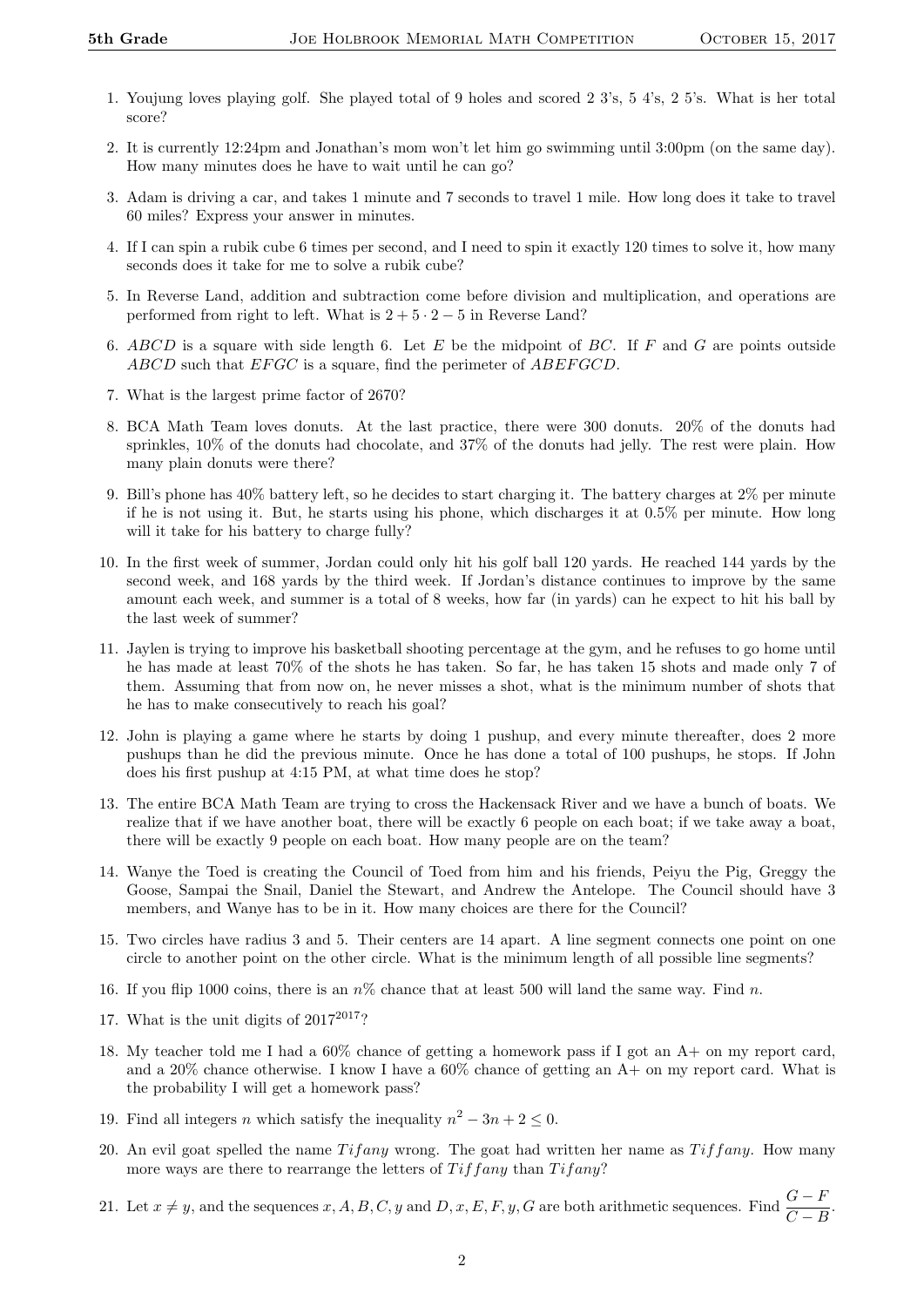- 1. Youjung loves playing golf. She played total of 9 holes and scored 2 3's, 5 4's, 2 5's. What is her total score?
- 2. It is currently 12:24pm and Jonathan's mom won't let him go swimming until 3:00pm (on the same day). How many minutes does he have to wait until he can go?
- 3. Adam is driving a car, and takes 1 minute and 7 seconds to travel 1 mile. How long does it take to travel 60 miles? Express your answer in minutes.
- 4. If I can spin a rubik cube 6 times per second, and I need to spin it exactly 120 times to solve it, how many seconds does it take for me to solve a rubik cube?
- 5. In Reverse Land, addition and subtraction come before division and multiplication, and operations are performed from right to left. What is  $2 + 5 \cdot 2 - 5$  in Reverse Land?
- 6. ABCD is a square with side length 6. Let  $E$  be the midpoint of BC. If  $F$  and  $G$  are points outside ABCD such that EFGC is a square, find the perimeter of ABEFGCD.
- 7. What is the largest prime factor of 2670?
- 8. BCA Math Team loves donuts. At the last practice, there were 300 donuts. 20% of the donuts had sprinkles, 10% of the donuts had chocolate, and 37% of the donuts had jelly. The rest were plain. How many plain donuts were there?
- 9. Bill's phone has 40% battery left, so he decides to start charging it. The battery charges at 2% per minute if he is not using it. But, he starts using his phone, which discharges it at 0.5% per minute. How long will it take for his battery to charge fully?
- 10. In the first week of summer, Jordan could only hit his golf ball 120 yards. He reached 144 yards by the second week, and 168 yards by the third week. If Jordan's distance continues to improve by the same amount each week, and summer is a total of 8 weeks, how far (in yards) can he expect to hit his ball by the last week of summer?
- 11. Jaylen is trying to improve his basketball shooting percentage at the gym, and he refuses to go home until he has made at least 70% of the shots he has taken. So far, he has taken 15 shots and made only 7 of them. Assuming that from now on, he never misses a shot, what is the minimum number of shots that he has to make consecutively to reach his goal?
- 12. John is playing a game where he starts by doing 1 pushup, and every minute thereafter, does 2 more pushups than he did the previous minute. Once he has done a total of 100 pushups, he stops. If John does his first pushup at 4:15 PM, at what time does he stop?
- 13. The entire BCA Math Team are trying to cross the Hackensack River and we have a bunch of boats. We realize that if we have another boat, there will be exactly 6 people on each boat; if we take away a boat, there will be exactly 9 people on each boat. How many people are on the team?
- 14. Wanye the Toed is creating the Council of Toed from him and his friends, Peiyu the Pig, Greggy the Goose, Sampai the Snail, Daniel the Stewart, and Andrew the Antelope. The Council should have 3 members, and Wanye has to be in it. How many choices are there for the Council?
- 15. Two circles have radius 3 and 5. Their centers are 14 apart. A line segment connects one point on one circle to another point on the other circle. What is the minimum length of all possible line segments?
- 16. If you flip 1000 coins, there is an  $n\%$  chance that at least 500 will land the same way. Find n.
- 17. What is the unit digits of  $2017^{2017}$ ?
- 18. My teacher told me I had a 60% chance of getting a homework pass if I got an A+ on my report card, and a 20% chance otherwise. I know I have a 60% chance of getting an A+ on my report card. What is the probability I will get a homework pass?
- 19. Find all integers *n* which satisfy the inequality  $n^2 3n + 2 \leq 0$ .
- 20. An evil goat spelled the name  $Tifany$  wrong. The goat had written her name as  $Tif fany$ . How many more ways are there to rearrange the letters of  $Tiff$  any than  $Tif$  any?
- 21. Let  $x \neq y$ , and the sequences  $x, A, B, C, y$  and  $D, x, E, F, y, G$  are both arithmetic sequences. Find  $\frac{G F}{C B}$ .